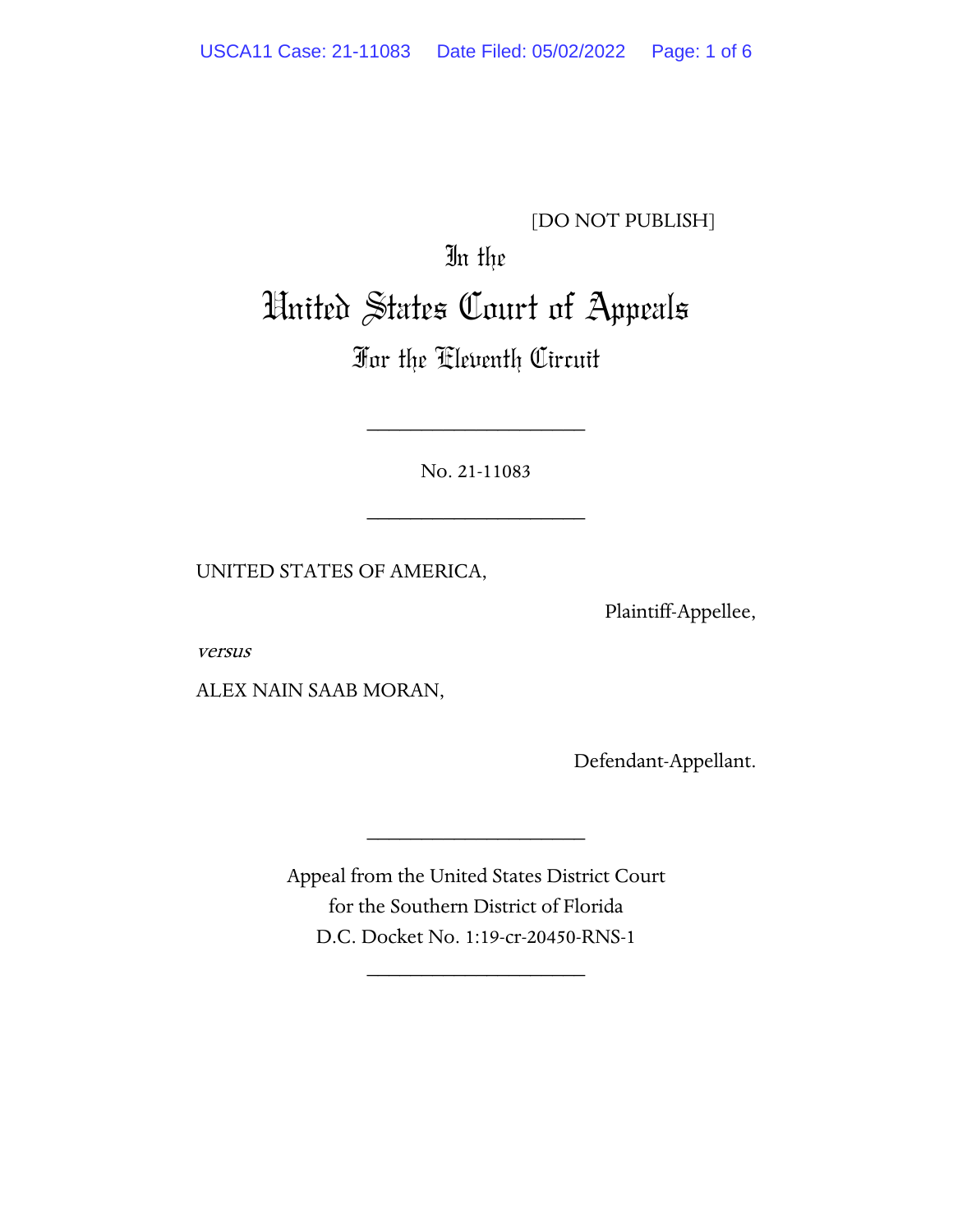# [DO NOT PUBLISH]

# In the United States Court of Appeals

# For the Eleventh Circuit

No. 21-11083

\_\_\_\_\_\_\_\_\_\_\_\_\_\_\_\_\_\_\_\_

\_\_\_\_\_\_\_\_\_\_\_\_\_\_\_\_\_\_\_\_

UNITED STATES OF AMERICA,

Plaintiff-Appellee,

versus

ALEX NAIN SAAB MORAN,

Defendant-Appellant.

Appeal from the United States District Court for the Southern District of Florida D.C. Docket No. 1:19-cr-20450-RNS-1

\_\_\_\_\_\_\_\_\_\_\_\_\_\_\_\_\_\_\_\_

\_\_\_\_\_\_\_\_\_\_\_\_\_\_\_\_\_\_\_\_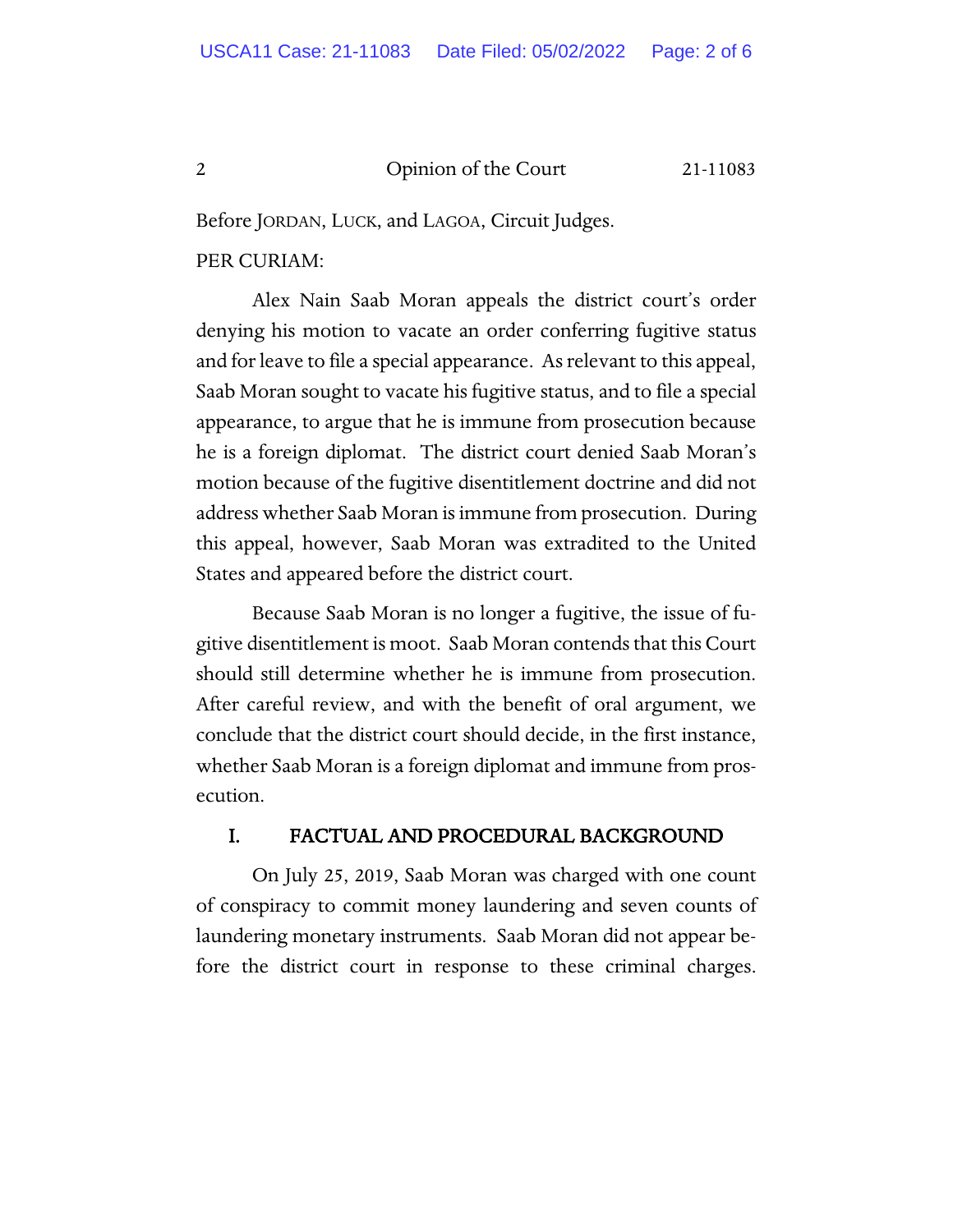#### 2 Opinion of the Court 21-11083

Before JORDAN, LUCK, and LAGOA, Circuit Judges.

### PER CURIAM:

Alex Nain Saab Moran appeals the district court's order denying his motion to vacate an order conferring fugitive status and for leave to file a special appearance. As relevant to this appeal, Saab Moran sought to vacate his fugitive status, and to file a special appearance, to argue that he is immune from prosecution because he is a foreign diplomat. The district court denied Saab Moran's motion because of the fugitive disentitlement doctrine and did not address whether Saab Moran is immune from prosecution. During this appeal, however, Saab Moran was extradited to the United States and appeared before the district court.

Because Saab Moran is no longer a fugitive, the issue of fugitive disentitlement is moot. Saab Moran contends that this Court should still determine whether he is immune from prosecution. After careful review, and with the benefit of oral argument, we conclude that the district court should decide, in the first instance, whether Saab Moran is a foreign diplomat and immune from prosecution.

# I. FACTUAL AND PROCEDURAL BACKGROUND

On July 25, 2019, Saab Moran was charged with one count of conspiracy to commit money laundering and seven counts of laundering monetary instruments. Saab Moran did not appear before the district court in response to these criminal charges.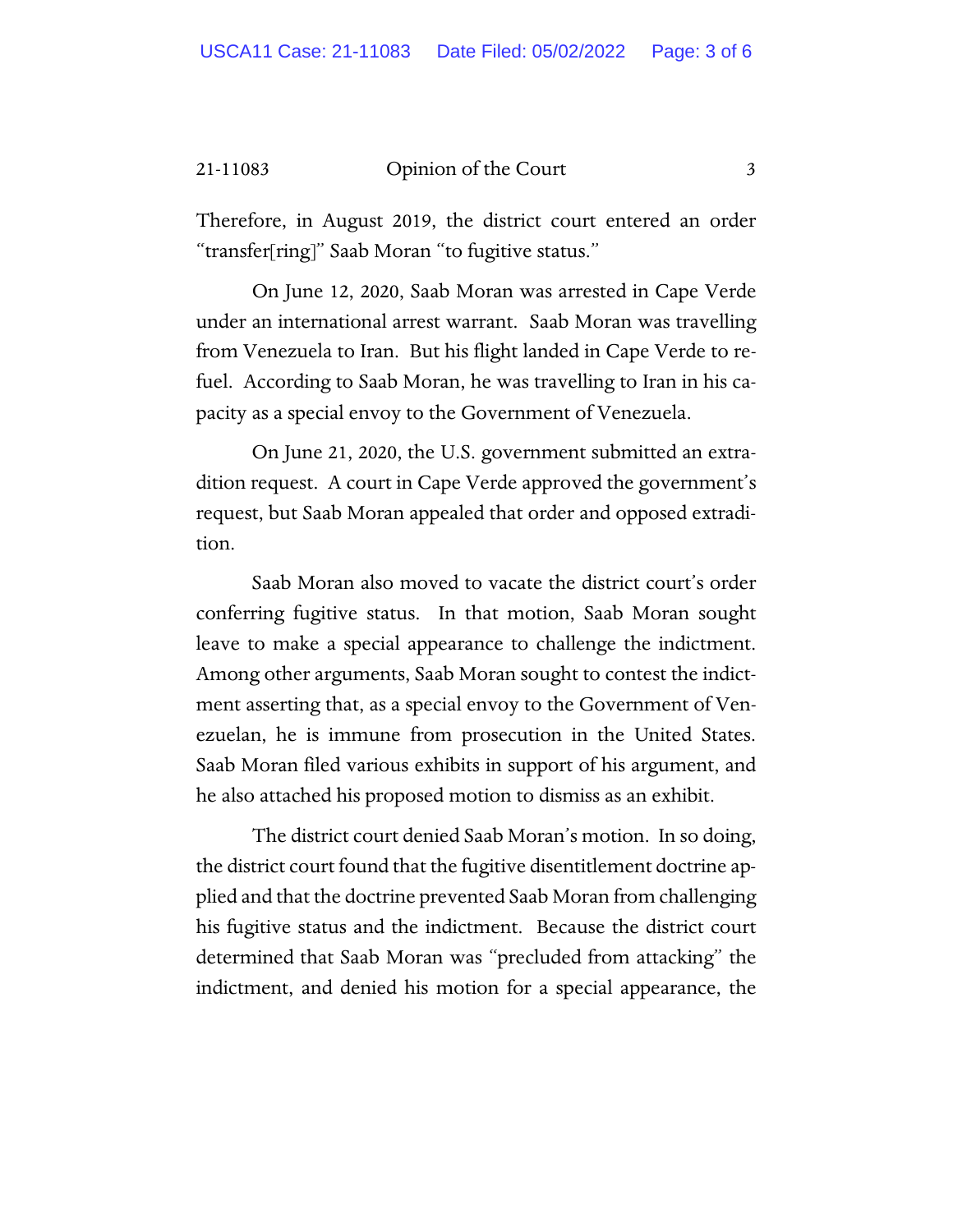#### 21-11083 Opinion of the Court 3

Therefore, in August 2019, the district court entered an order "transfer[ring]" Saab Moran "to fugitive status."

On June 12, 2020, Saab Moran was arrested in Cape Verde under an international arrest warrant. Saab Moran was travelling from Venezuela to Iran. But his flight landed in Cape Verde to refuel. According to Saab Moran, he was travelling to Iran in his capacity as a special envoy to the Government of Venezuela.

On June 21, 2020, the U.S. government submitted an extradition request. A court in Cape Verde approved the government's request, but Saab Moran appealed that order and opposed extradition.

Saab Moran also moved to vacate the district court's order conferring fugitive status. In that motion, Saab Moran sought leave to make a special appearance to challenge the indictment. Among other arguments, Saab Moran sought to contest the indictment asserting that, as a special envoy to the Government of Venezuelan, he is immune from prosecution in the United States. Saab Moran filed various exhibits in support of his argument, and he also attached his proposed motion to dismiss as an exhibit.

The district court denied Saab Moran's motion. In so doing, the district court found that the fugitive disentitlement doctrine applied and that the doctrine prevented Saab Moran from challenging his fugitive status and the indictment. Because the district court determined that Saab Moran was "precluded from attacking" the indictment, and denied his motion for a special appearance, the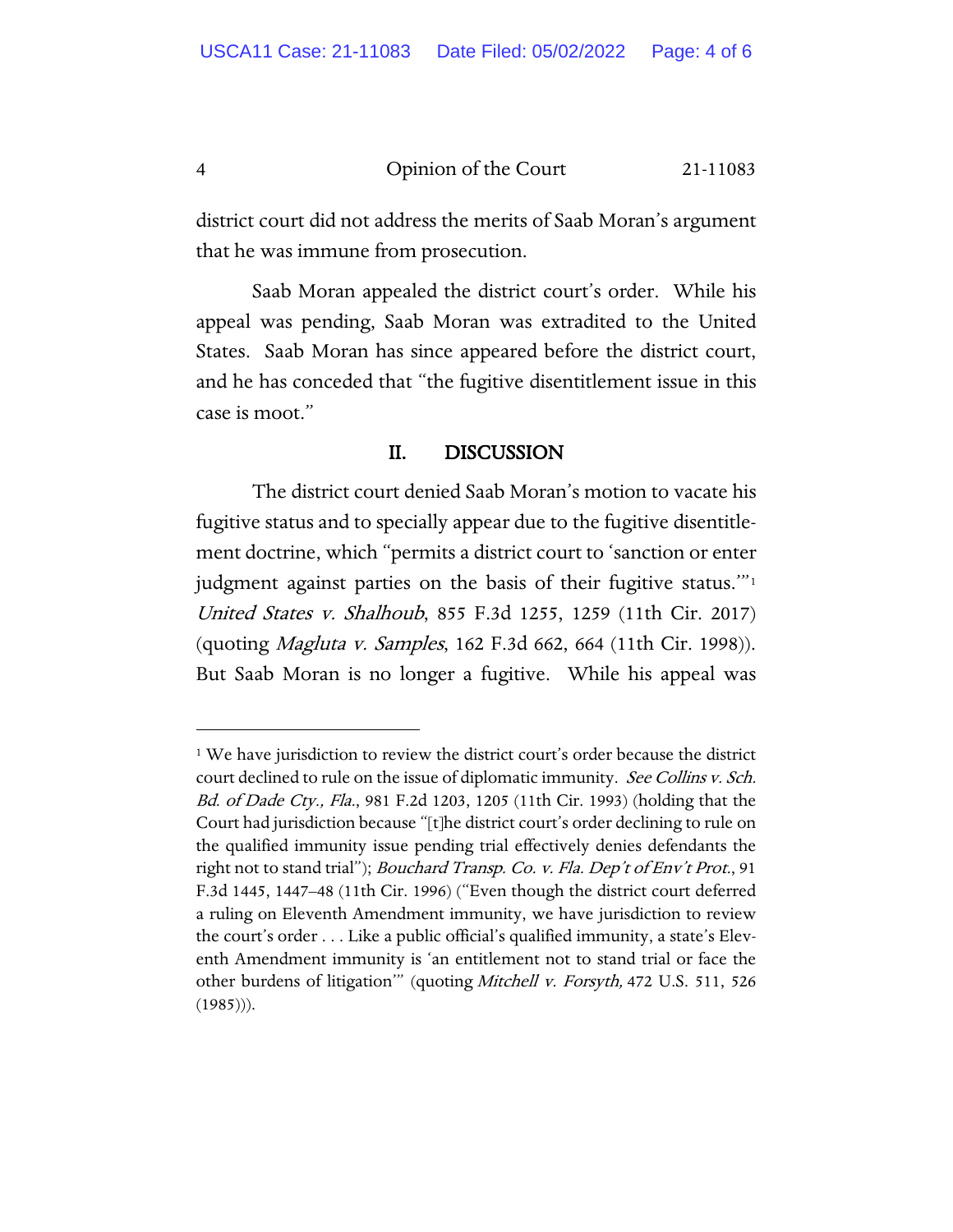4 Opinion of the Court 21-11083

district court did not address the merits of Saab Moran's argument that he was immune from prosecution.

Saab Moran appealed the district court's order. While his appeal was pending, Saab Moran was extradited to the United States. Saab Moran has since appeared before the district court, and he has conceded that "the fugitive disentitlement issue in this case is moot."

#### II. DISCUSSION

The district court denied Saab Moran's motion to vacate his fugitive status and to specially appear due to the fugitive disentitlement doctrine, which "permits a district court to 'sanction or enter judgment against parties on the basis of their fugitive status.'"[1](#page-3-0) United States v. Shalhoub, 855 F.3d 1255, 1259 (11th Cir. 2017) (quoting Magluta v. Samples, 162 F.3d 662, 664 (11th Cir. 1998)). But Saab Moran is no longer a fugitive. While his appeal was

<span id="page-3-0"></span><sup>&</sup>lt;sup>1</sup> We have jurisdiction to review the district court's order because the district court declined to rule on the issue of diplomatic immunity. See Collins v. Sch. Bd. of Dade Cty., Fla., 981 F.2d 1203, 1205 (11th Cir. 1993) (holding that the Court had jurisdiction because "[t]he district court's order declining to rule on the qualified immunity issue pending trial effectively denies defendants the right not to stand trial"); Bouchard Transp. Co. v. Fla. Dep't of Env't Prot., 91 F.3d 1445, 1447–48 (11th Cir. 1996) ("Even though the district court deferred a ruling on Eleventh Amendment immunity, we have jurisdiction to review the court's order . . . Like a public official's qualified immunity, a state's Eleventh Amendment immunity is 'an entitlement not to stand trial or face the other burdens of litigation<sup>""</sup> (quoting Mitchell v. Forsyth, 472 U.S. 511, 526  $(1985))$ .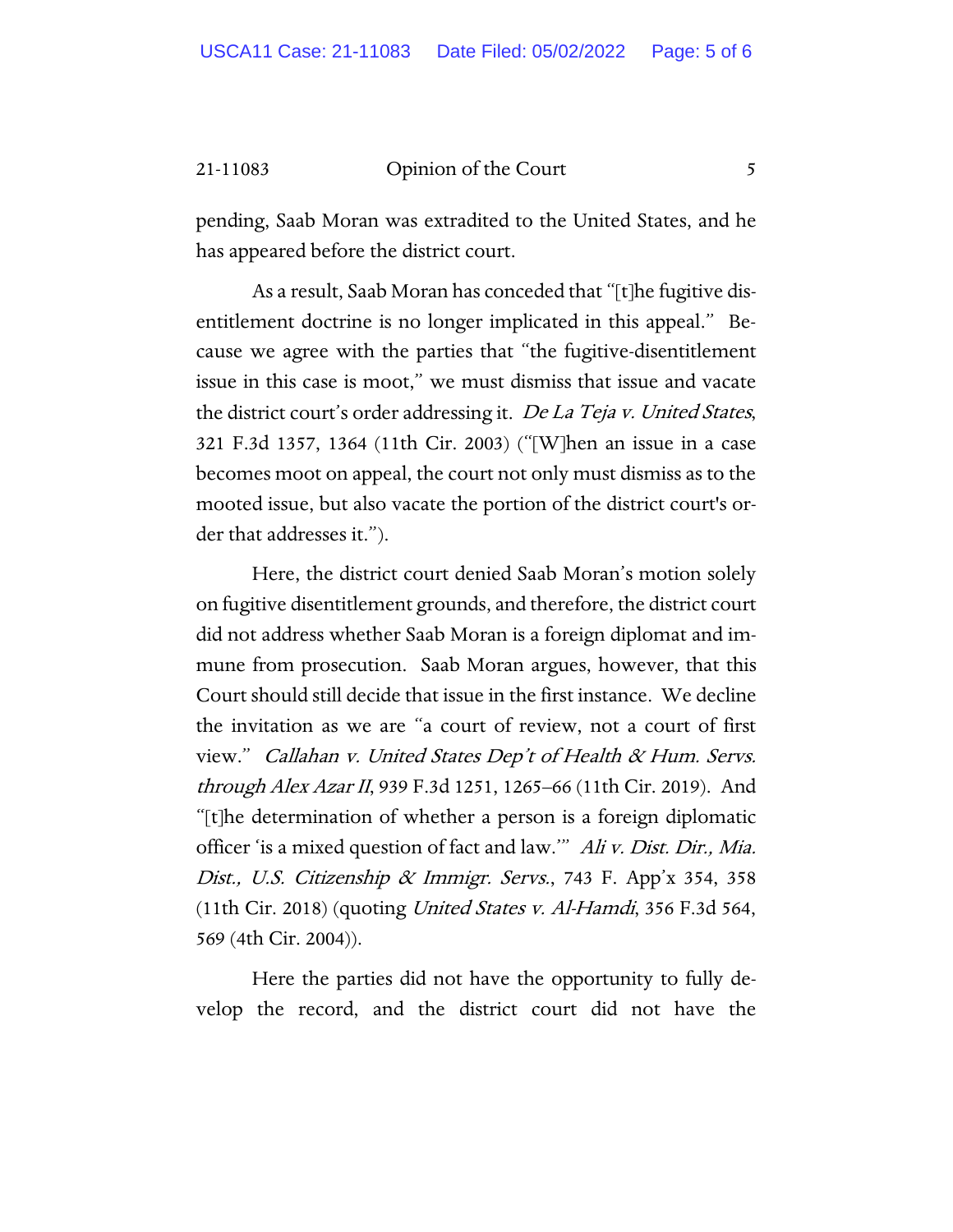21-11083 Opinion of the Court 5

pending, Saab Moran was extradited to the United States, and he has appeared before the district court.

As a result, Saab Moran has conceded that "[t]he fugitive disentitlement doctrine is no longer implicated in this appeal." Because we agree with the parties that "the fugitive-disentitlement issue in this case is moot," we must dismiss that issue and vacate the district court's order addressing it. De La Teja v. United States, 321 F.3d 1357, 1364 (11th Cir. 2003) ("[W]hen an issue in a case becomes moot on appeal, the court not only must dismiss as to the mooted issue, but also vacate the portion of the district court's order that addresses it.").

Here, the district court denied Saab Moran's motion solely on fugitive disentitlement grounds, and therefore, the district court did not address whether Saab Moran is a foreign diplomat and immune from prosecution. Saab Moran argues, however, that this Court should still decide that issue in the first instance. We decline the invitation as we are "a court of review, not a court of first view." Callahan v. United States Dep't of Health & Hum. Servs. through Alex Azar II, 939 F.3d 1251, 1265–66 (11th Cir. 2019). And "[t]he determination of whether a person is a foreign diplomatic officer 'is a mixed question of fact and law.'" Ali v. Dist. Dir., Mia. Dist., U.S. Citizenship & Immigr. Servs., 743 F. App'x 354, 358 (11th Cir. 2018) (quoting United States v. Al-Hamdi, 356 F.3d 564, 569 (4th Cir. 2004)).

Here the parties did not have the opportunity to fully develop the record, and the district court did not have the